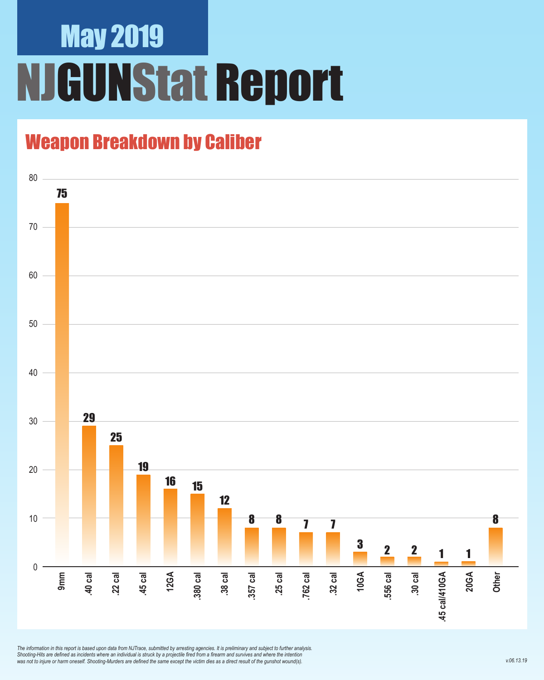## May 2019 NJGUNStat Report

### Weapon Breakdown by Caliber



*The information in this report is based upon data from NJTrace, submitted by arresting agencies. It is preliminary and subject to further analysis. Shooting-Hits are defined as incidents where an individual is struck by a projectile fired from a firearm and survives and where the intention was not to injure or harm oneself. Shooting-Murders are defined the same except the victim dies as a direct result of the gunshot wound(s).*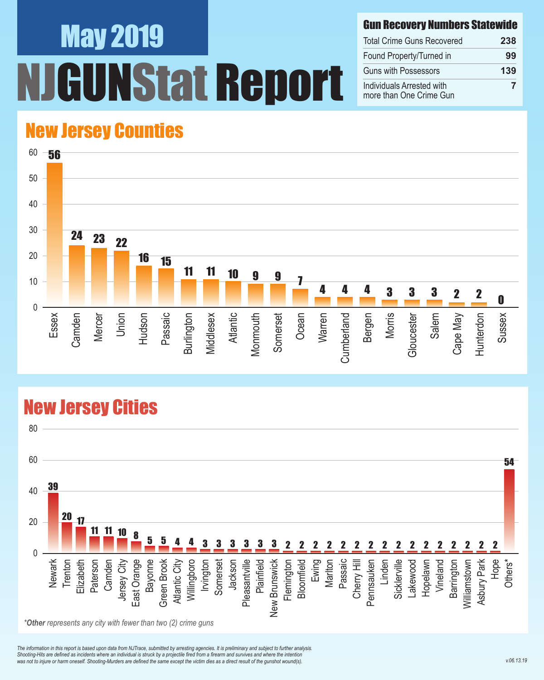# May 2019 **IStat Report**

#### Gun Recovery Numbers Statewide

| <b>Total Crime Guns Recovered</b>                    | 238 |
|------------------------------------------------------|-----|
| Found Property/Turned in                             | 99  |
| <b>Guns with Possessors</b>                          | 139 |
| Individuals Arrested with<br>more than One Crime Gun |     |

#### New Jersey Counties



#### New Jersey Cities



*The information in this report is based upon data from NJTrace, submitted by arresting agencies. It is preliminary and subject to further analysis. Shooting-Hits are defined as incidents where an individual is struck by a projectile fired from a firearm and survives and where the intention*  was not to injure or harm oneself. Shooting-Murders are defined the same except the victim dies as a direct result of the gunshot wound(s).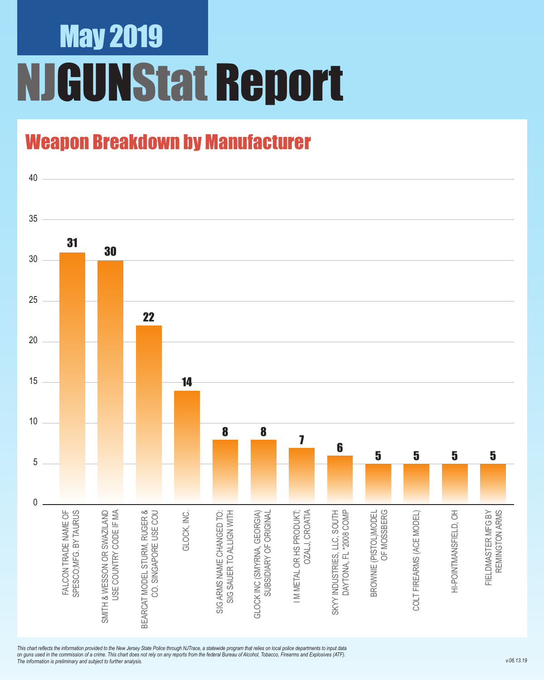## May 2019 NJGUNStat Report

### Weapon Breakdown by Manufacturer



*This chart reflects the information provided to the New Jersey State Police through NJTrace, a statewide program that relies on local police departments to input data on guns used in the commission of a crime. This chart does not rely on any reports from the federal Bureau of Alcohol, Tobacco, Firearms and Explosives (ATF). The information is preliminary and subject to further analysis.*